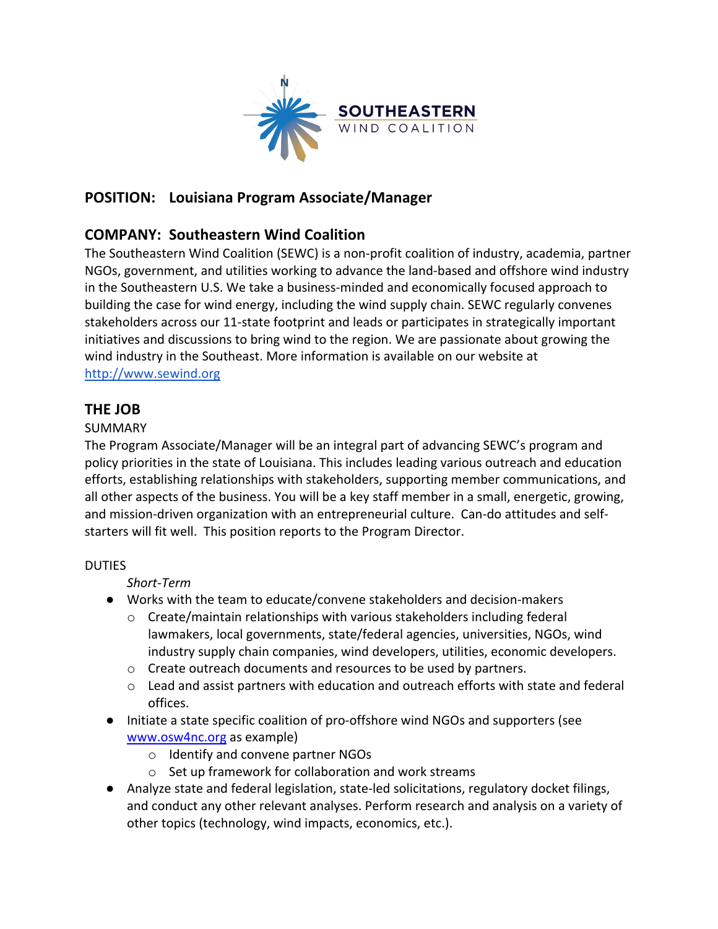

# **POSITION: Louisiana Program Associate/Manager**

### **COMPANY: Southeastern Wind Coalition**

The Southeastern Wind Coalition (SEWC) is a non-profit coalition of industry, academia, partner NGOs, government, and utilities working to advance the land-based and offshore wind industry in the Southeastern U.S. We take a business-minded and economically focused approach to building the case for wind energy, including the wind supply chain. SEWC regularly convenes stakeholders across our 11-state footprint and leads or participates in strategically important initiatives and discussions to bring wind to the region. We are passionate about growing the wind industry in the Southeast. More information is available on our website at http://www.sewind.org

### **THE JOB**

#### SUMMARY

The Program Associate/Manager will be an integral part of advancing SEWC's program and policy priorities in the state of Louisiana. This includes leading various outreach and education efforts, establishing relationships with stakeholders, supporting member communications, and all other aspects of the business. You will be a key staff member in a small, energetic, growing, and mission-driven organization with an entrepreneurial culture. Can-do attitudes and selfstarters will fit well. This position reports to the Program Director.

#### DUTIES

*Short-Term*

- Works with the team to educate/convene stakeholders and decision-makers
	- $\circ$  Create/maintain relationships with various stakeholders including federal lawmakers, local governments, state/federal agencies, universities, NGOs, wind industry supply chain companies, wind developers, utilities, economic developers.
	- o Create outreach documents and resources to be used by partners.
	- $\circ$  Lead and assist partners with education and outreach efforts with state and federal offices.
- Initiate a state specific coalition of pro-offshore wind NGOs and supporters (see www.osw4nc.org as example)
	- o Identify and convene partner NGOs
	- o Set up framework for collaboration and work streams
- Analyze state and federal legislation, state-led solicitations, regulatory docket filings, and conduct any other relevant analyses. Perform research and analysis on a variety of other topics (technology, wind impacts, economics, etc.).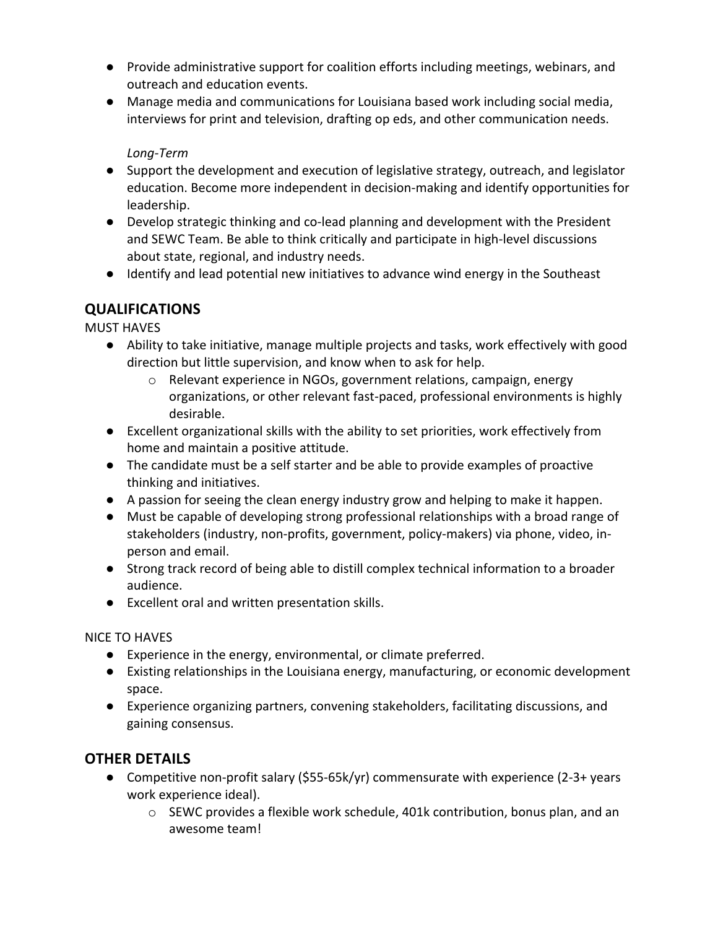- Provide administrative support for coalition efforts including meetings, webinars, and outreach and education events.
- Manage media and communications for Louisiana based work including social media, interviews for print and television, drafting op eds, and other communication needs.

### *Long-Term*

- Support the development and execution of legislative strategy, outreach, and legislator education. Become more independent in decision-making and identify opportunities for leadership.
- Develop strategic thinking and co-lead planning and development with the President and SEWC Team. Be able to think critically and participate in high-level discussions about state, regional, and industry needs.
- Identify and lead potential new initiatives to advance wind energy in the Southeast

# **QUALIFICATIONS**

MUST HAVES

- Ability to take initiative, manage multiple projects and tasks, work effectively with good direction but little supervision, and know when to ask for help.
	- o Relevant experience in NGOs, government relations, campaign, energy organizations, or other relevant fast-paced, professional environments is highly desirable.
- Excellent organizational skills with the ability to set priorities, work effectively from home and maintain a positive attitude.
- The candidate must be a self starter and be able to provide examples of proactive thinking and initiatives.
- A passion for seeing the clean energy industry grow and helping to make it happen.
- Must be capable of developing strong professional relationships with a broad range of stakeholders (industry, non-profits, government, policy-makers) via phone, video, inperson and email.
- Strong track record of being able to distill complex technical information to a broader audience.
- Excellent oral and written presentation skills.

#### NICE TO HAVES

- Experience in the energy, environmental, or climate preferred.
- Existing relationships in the Louisiana energy, manufacturing, or economic development space.
- Experience organizing partners, convening stakeholders, facilitating discussions, and gaining consensus.

# **OTHER DETAILS**

- Competitive non-profit salary  $(555-65k/yr)$  commensurate with experience  $(2-3+)$  years work experience ideal).
	- o SEWC provides a flexible work schedule, 401k contribution, bonus plan, and an awesome team!